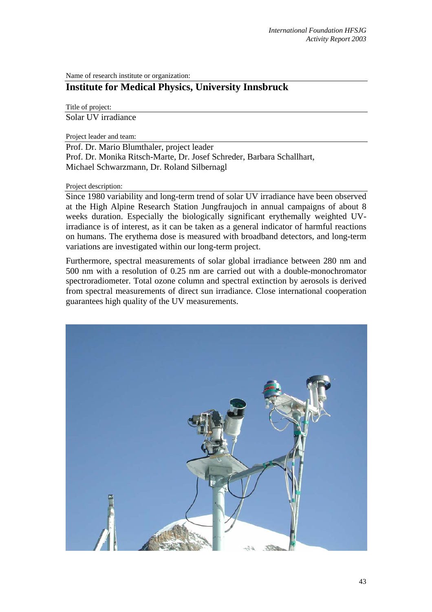Name of research institute or organization:

# **Institute for Medical Physics, University Innsbruck**

Title of project: Solar UV irradiance

Project leader and team:

Prof. Dr. Mario Blumthaler, project leader Prof. Dr. Monika Ritsch-Marte, Dr. Josef Schreder, Barbara Schallhart, Michael Schwarzmann, Dr. Roland Silbernagl

Project description:

Since 1980 variability and long-term trend of solar UV irradiance have been observed at the High Alpine Research Station Jungfraujoch in annual campaigns of about 8 weeks duration. Especially the biologically significant erythemally weighted UVirradiance is of interest, as it can be taken as a general indicator of harmful reactions on humans. The erythema dose is measured with broadband detectors, and long-term variations are investigated within our long-term project.

Furthermore, spectral measurements of solar global irradiance between 280 nm and 500 nm with a resolution of 0.25 nm are carried out with a double-monochromator spectroradiometer. Total ozone column and spectral extinction by aerosols is derived from spectral measurements of direct sun irradiance. Close international cooperation guarantees high quality of the UV measurements.

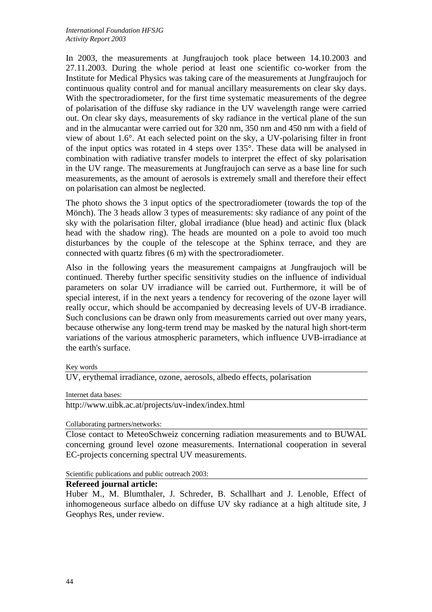In 2003, the measurements at Jungfraujoch took place between 14.10.2003 and 27.11.2003. During the whole period at least one scientific co-worker from the Institute for Medical Physics was taking care of the measurements at Jungfraujoch for continuous quality control and for manual ancillary measurements on clear sky days. With the spectroradiometer, for the first time systematic measurements of the degree of polarisation of the diffuse sky radiance in the UV wavelength range were carried out. On clear sky days, measurements of sky radiance in the vertical plane of the sun and in the almucantar were carried out for 320 nm, 350 nm and 450 nm with a field of view of about 1.6°. At each selected point on the sky, a UV-polarising filter in front of the input optics was rotated in 4 steps over 135°. These data will be analysed in combination with radiative transfer models to interpret the effect of sky polarisation in the UV range. The measurements at Jungfraujoch can serve as a base line for such measurements, as the amount of aerosols is extremely small and therefore their effect on polarisation can almost be neglected.

The photo shows the 3 input optics of the spectroradiometer (towards the top of the Mönch). The 3 heads allow 3 types of measurements: sky radiance of any point of the sky with the polarisation filter, global irradiance (blue head) and actinic flux (black head with the shadow ring). The heads are mounted on a pole to avoid too much disturbances by the couple of the telescope at the Sphinx terrace, and they are connected with quartz fibres (6 m) with the spectroradiometer.

Also in the following years the measurement campaigns at Jungfraujoch will be continued. Thereby further specific sensitivity studies on the influence of individual parameters on solar UV irradiance will be carried out. Furthermore, it will be of special interest, if in the next years a tendency for recovering of the ozone layer will really occur, which should be accompanied by decreasing levels of UV-B irradiance. Such conclusions can be drawn only from measurements carried out over many years, because otherwise any long-term trend may be masked by the natural high short-term variations of the various atmospheric parameters, which influence UVB-irradiance at the earth's surface.

Key words

UV, erythemal irradiance, ozone, aerosols, albedo effects, polarisation

Internet data bases:

http://www.uibk.ac.at/projects/uv-index/index.html

#### Collaborating partners/networks:

Close contact to MeteoSchweiz concerning radiation measurements and to BUWAL concerning ground level ozone measurements. International cooperation in several EC-projects concerning spectral UV measurements.

Scientific publications and public outreach 2003:

#### **Refereed journal article:**

Huber M., M. Blumthaler, J. Schreder, B. Schallhart and J. Lenoble, Effect of inhomogeneous surface albedo on diffuse UV sky radiance at a high altitude site, J Geophys Res, under review.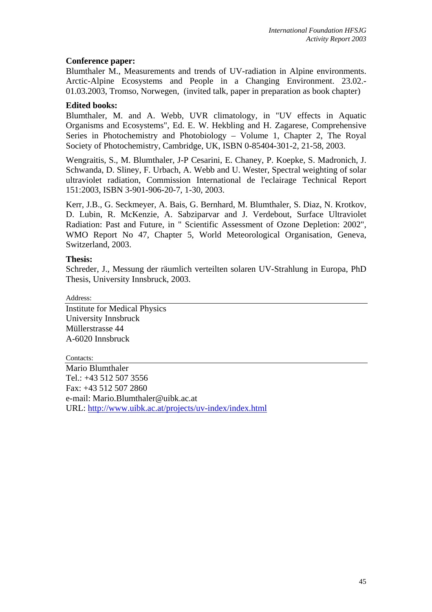## **Conference paper:**

Blumthaler M., Measurements and trends of UV-radiation in Alpine environments. Arctic-Alpine Ecosystems and People in a Changing Environment. 23.02.- 01.03.2003, Tromso, Norwegen, (invited talk, paper in preparation as book chapter)

## **Edited books:**

Blumthaler, M. and A. Webb, UVR climatology, in "UV effects in Aquatic Organisms and Ecosystems", Ed. E. W. Hekbling and H. Zagarese, Comprehensive Series in Photochemistry and Photobiology – Volume 1, Chapter 2, The Royal Society of Photochemistry, Cambridge, UK, ISBN 0-85404-301-2, 21-58, 2003.

Wengraitis, S., M. Blumthaler, J-P Cesarini, E. Chaney, P. Koepke, S. Madronich, J. Schwanda, D. Sliney, F. Urbach, A. Webb and U. Wester, Spectral weighting of solar ultraviolet radiation, Commission International de l'eclairage Technical Report 151:2003, ISBN 3-901-906-20-7, 1-30, 2003.

Kerr, J.B., G. Seckmeyer, A. Bais, G. Bernhard, M. Blumthaler, S. Diaz, N. Krotkov, D. Lubin, R. McKenzie, A. Sabziparvar and J. Verdebout, Surface Ultraviolet Radiation: Past and Future, in " Scientific Assessment of Ozone Depletion: 2002", WMO Report No 47, Chapter 5, World Meteorological Organisation, Geneva, Switzerland, 2003.

## **Thesis:**

Schreder, J., Messung der räumlich verteilten solaren UV-Strahlung in Europa, PhD Thesis, University Innsbruck, 2003.

Address:

Institute for Medical Physics University Innsbruck Müllerstrasse 44 A-6020 Innsbruck

### Contacts<sup>\*</sup>

Mario Blumthaler Tel.: +43 512 507 3556 Fax: +43 512 507 2860 e-mail: [Mario.Blumthaler@uibk.ac.at](mailto:Mario.Blumthaler@uibk.ac.at) URL:<http://www.uibk.ac.at/projects/uv-index/index.html>